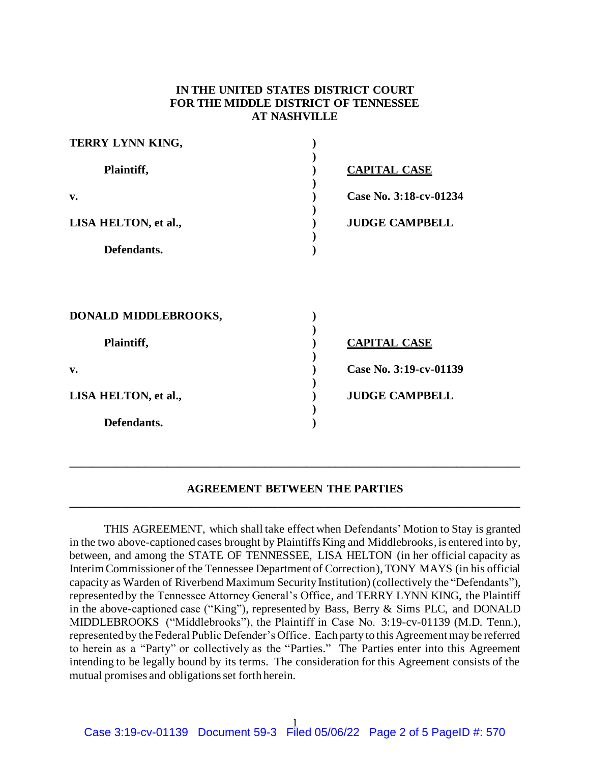# **IN THE UNITED STATES DISTRICT COURT FOR THE MIDDLE DISTRICT OF TENNESSEE AT NASHVILLE**

| TERRY LYNN KING,     |                        |
|----------------------|------------------------|
| Plaintiff,           | <b>CAPITAL CASE</b>    |
| v.                   | Case No. 3:18-cv-01234 |
| LISA HELTON, et al., | <b>JUDGE CAMPBELL</b>  |
| Defendants.          |                        |
|                      |                        |
| DONALD MIDDLEBROOKS, |                        |
| Plaintiff,           | <b>CAPITAL CASE</b>    |
| v.                   | Case No. 3:19-cv-01139 |
| LISA HELTON, et al., | <b>JUDGE CAMPBELL</b>  |
| Defendants.          |                        |

### **AGREEMENT BETWEEN THE PARTIES \_\_\_\_\_\_\_\_\_\_\_\_\_\_\_\_\_\_\_\_\_\_\_\_\_\_\_\_\_\_\_\_\_\_\_\_\_\_\_\_\_\_\_\_\_\_\_\_\_\_\_\_\_\_\_\_\_\_\_\_\_\_\_\_\_\_\_\_\_\_\_\_\_\_\_\_\_\_**

**\_\_\_\_\_\_\_\_\_\_\_\_\_\_\_\_\_\_\_\_\_\_\_\_\_\_\_\_\_\_\_\_\_\_\_\_\_\_\_\_\_\_\_\_\_\_\_\_\_\_\_\_\_\_\_\_\_\_\_\_\_\_\_\_\_\_\_\_\_\_\_\_\_\_\_\_\_\_**

THIS AGREEMENT, which shall take effect when Defendants' Motion to Stay is granted in the two above-captioned cases brought by Plaintiffs King and Middlebrooks, is entered into by, between, and among the STATE OF TENNESSEE, LISA HELTON (in her official capacity as Interim Commissioner of the Tennessee Department of Correction), TONY MAYS (in his official capacity as Warden of Riverbend Maximum Security Institution) (collectively the "Defendants"), represented by the Tennessee Attorney General's Office, and TERRY LYNN KING, the Plaintiff in the above-captioned case ("King"), represented by Bass, Berry & Sims PLC, and DONALD MIDDLEBROOKS ("Middlebrooks"), the Plaintiff in Case No. 3:19-cv-01139 (M.D. Tenn.), represented by the Federal Public Defender's Office. Each party to this Agreement may be referred to herein as a "Party" or collectively as the "Parties." The Parties enter into this Agreement intending to be legally bound by its terms. The consideration for this Agreement consists of the mutual promises and obligations set forth herein.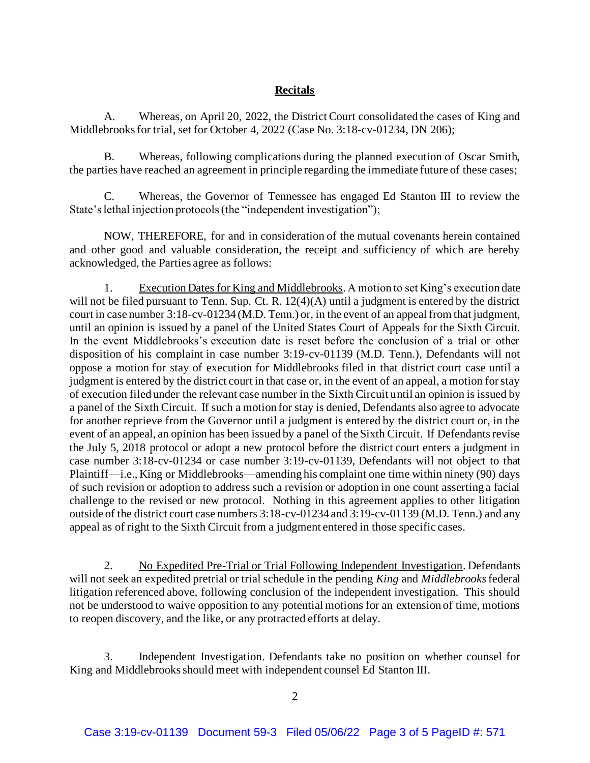# **Recitals**

A. Whereas, on April 20, 2022, the District Court consolidated the cases of King and Middlebrooks for trial, set for October 4, 2022 (Case No. 3:18-cv-01234, DN 206);

B. Whereas, following complications during the planned execution of Oscar Smith, the parties have reached an agreement in principle regarding the immediate future of these cases;

C. Whereas, the Governor of Tennessee has engaged Ed Stanton III to review the State's lethal injection protocols (the "independent investigation");

NOW, THEREFORE, for and in consideration of the mutual covenants herein contained and other good and valuable consideration, the receipt and sufficiency of which are hereby acknowledged, the Parties agree as follows:

1. Execution Dates for King and Middlebrooks. A motion to set King's execution date will not be filed pursuant to Tenn. Sup. Ct. R. 12(4)(A) until a judgment is entered by the district court in case number 3:18-cv-01234 (M.D. Tenn.) or, in the event of an appeal from that judgment, until an opinion is issued by a panel of the United States Court of Appeals for the Sixth Circuit. In the event Middlebrooks's execution date is reset before the conclusion of a trial or other disposition of his complaint in case number 3:19-cv-01139 (M.D. Tenn.), Defendants will not oppose a motion for stay of execution for Middlebrooks filed in that district court case until a judgment is entered by the district court in that case or, in the event of an appeal, a motion for stay of execution filed under the relevant case number in the Sixth Circuit until an opinion is issued by a panel of the Sixth Circuit. If such a motion for stay is denied, Defendants also agree to advocate for another reprieve from the Governor until a judgment is entered by the district court or, in the event of an appeal, an opinion has been issued by a panel of the Sixth Circuit. If Defendants revise the July 5, 2018 protocol or adopt a new protocol before the district court enters a judgment in case number 3:18-cv-01234 or case number 3:19-cv-01139, Defendants will not object to that Plaintiff—i.e., King or Middlebrooks—amending his complaint one time within ninety (90) days of such revision or adoption to address such a revision or adoption in one count asserting a facial challenge to the revised or new protocol. Nothing in this agreement applies to other litigation outside of the district court case numbers 3:18-cv-01234 and 3:19-cv-01139 (M.D. Tenn.) and any appeal as of right to the Sixth Circuit from a judgment entered in those specific cases.

2. No Expedited Pre-Trial or Trial Following Independent Investigation. Defendants will not seek an expedited pretrial or trial schedule in the pending *King* and *Middlebrooks*federal litigation referenced above, following conclusion of the independent investigation. This should not be understood to waive opposition to any potential motions for an extension of time, motions to reopen discovery, and the like, or any protracted efforts at delay.

3. Independent Investigation. Defendants take no position on whether counsel for King and Middlebrooks should meet with independent counsel Ed Stanton III.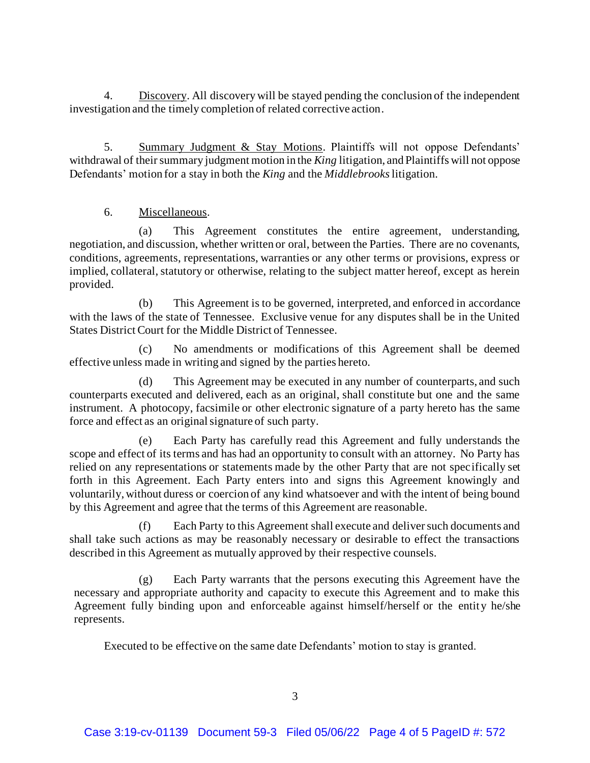4. Discovery. All discovery will be stayed pending the conclusion of the independent investigation and the timely completion of related corrective action.

5. Summary Judgment & Stay Motions. Plaintiffs will not oppose Defendants' withdrawal of their summary judgment motion in the *King* litigation, and Plaintiffs will not oppose Defendants' motion for a stay in both the *King* and the *Middlebrooks*litigation.

## 6. Miscellaneous.

(a) This Agreement constitutes the entire agreement, understanding, negotiation, and discussion, whether written or oral, between the Parties. There are no covenants, conditions, agreements, representations, warranties or any other terms or provisions, express or implied, collateral, statutory or otherwise, relating to the subject matter hereof, except as herein provided.

(b) This Agreement is to be governed, interpreted, and enforced in accordance with the laws of the state of Tennessee. Exclusive venue for any disputes shall be in the United States District Court for the Middle District of Tennessee.

(c) No amendments or modifications of this Agreement shall be deemed effective unless made in writing and signed by the parties hereto.

(d) This Agreement may be executed in any number of counterparts, and such counterparts executed and delivered, each as an original, shall constitute but one and the same instrument. A photocopy, facsimile or other electronic signature of a party hereto has the same force and effect as an original signature of such party.

(e) Each Party has carefully read this Agreement and fully understands the scope and effect of its terms and has had an opportunity to consult with an attorney. No Party has relied on any representations or statements made by the other Party that are not specifically set forth in this Agreement. Each Party enters into and signs this Agreement knowingly and voluntarily, without duress or coercion of any kind whatsoever and with the intent of being bound by this Agreement and agree that the terms of this Agreement are reasonable.

(f) Each Party to this Agreement shall execute and deliver such documents and shall take such actions as may be reasonably necessary or desirable to effect the transactions described in this Agreement as mutually approved by their respective counsels.

(g) Each Party warrants that the persons executing this Agreement have the necessary and appropriate authority and capacity to execute this Agreement and to make this Agreement fully binding upon and enforceable against himself/herself or the entity he/she represents.

Executed to be effective on the same date Defendants' motion to stay is granted.